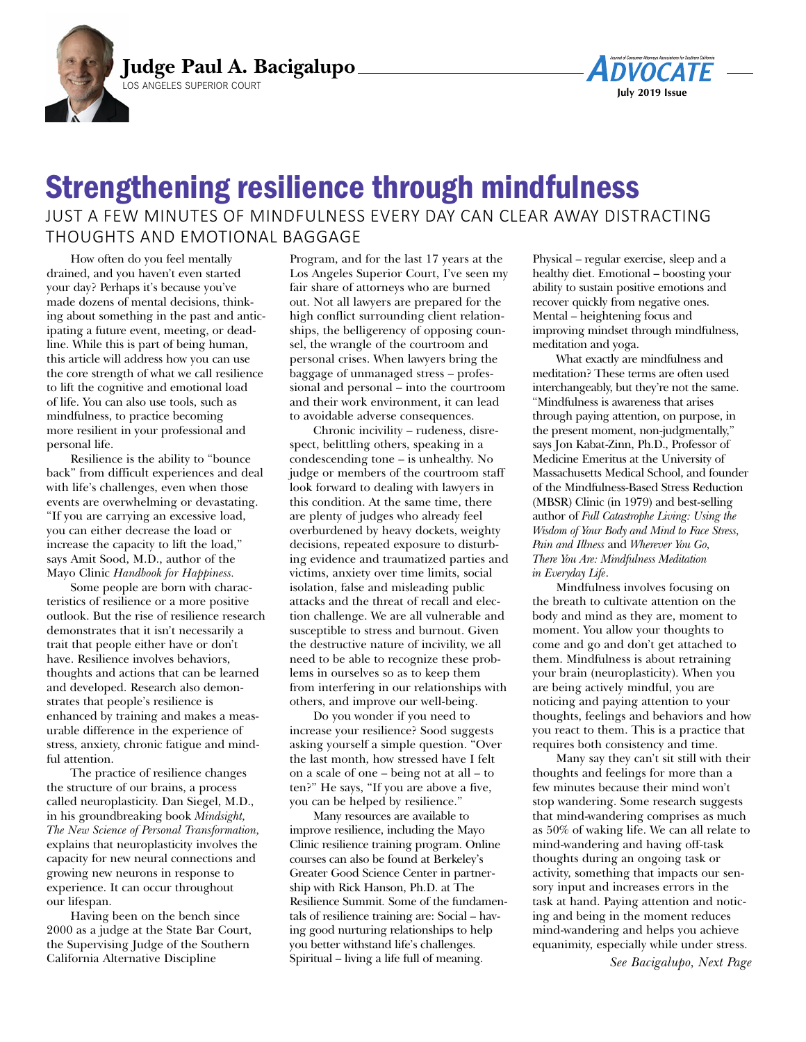



## Strengthening resilience through mindfulness JUST A FEW MINUTES OF MINDFULNESS EVERY DAY CAN CLEAR AWAY DISTRACTING THOUGHTS AND EMOTIONAL BAGGAGE

How often do you feel mentally drained, and you haven't even started your day? Perhaps it's because you've made dozens of mental decisions, thinking about something in the past and anticipating a future event, meeting, or deadline. While this is part of being human, this article will address how you can use the core strength of what we call resilience to lift the cognitive and emotional load of life. You can also use tools, such as mindfulness, to practice becoming more resilient in your professional and personal life.

Resilience is the ability to "bounce back" from difficult experiences and deal with life's challenges, even when those events are overwhelming or devastating. "If you are carrying an excessive load, you can either decrease the load or increase the capacity to lift the load," says Amit Sood, M.D., author of the Mayo Clinic *Handbook for Happiness.* 

 Some people are born with characteristics of resilience or a more positive outlook. But the rise of resilience research demonstrates that it isn't necessarily a trait that people either have or don't have. Resilience involves behaviors, thoughts and actions that can be learned and developed. Research also demonstrates that people's resilience is enhanced by training and makes a measurable difference in the experience of stress, anxiety, chronic fatigue and mindful attention.

The practice of resilience changes the structure of our brains, a process called neuroplasticity. Dan Siegel, M.D., in his groundbreaking book *Mindsight, The New Science of Personal Transformation,* explains that neuroplasticity involves the capacity for new neural connections and growing new neurons in response to experience. It can occur throughout our lifespan.

Having been on the bench since 2000 as a judge at the State Bar Court, the Supervising Judge of the Southern California Alternative Discipline

Program, and for the last 17 years at the Los Angeles Superior Court, I've seen my fair share of attorneys who are burned out. Not all lawyers are prepared for the high conflict surrounding client relationships, the belligerency of opposing counsel, the wrangle of the courtroom and personal crises. When lawyers bring the baggage of unmanaged stress – professional and personal – into the courtroom and their work environment, it can lead to avoidable adverse consequences.

Chronic incivility – rudeness, disrespect, belittling others, speaking in a condescending tone – is unhealthy. No judge or members of the courtroom staff look forward to dealing with lawyers in this condition. At the same time, there are plenty of judges who already feel overburdened by heavy dockets, weighty decisions, repeated exposure to disturbing evidence and traumatized parties and victims, anxiety over time limits, social isolation, false and misleading public attacks and the threat of recall and election challenge. We are all vulnerable and susceptible to stress and burnout. Given the destructive nature of incivility, we all need to be able to recognize these problems in ourselves so as to keep them from interfering in our relationships with others, and improve our well-being.

Do you wonder if you need to increase your resilience? Sood suggests asking yourself a simple question. "Over the last month, how stressed have I felt on a scale of one – being not at all – to ten?" He says, "If you are above a five, you can be helped by resilience."

Many resources are available to improve resilience, including the Mayo Clinic resilience training program. Online courses can also be found at Berkeley's Greater Good Science Center in partnership with Rick Hanson, Ph.D. at The Resilience Summit*.* Some of the fundamentals of resilience training are: Social – having good nurturing relationships to help you better withstand life's challenges. Spiritual – living a life full of meaning.

Physical – regular exercise, sleep and a healthy diet. Emotional **–** boosting your ability to sustain positive emotions and recover quickly from negative ones. Mental – heightening focus and improving mindset through mindfulness, meditation and yoga.

What exactly are mindfulness and meditation? These terms are often used interchangeably, but they're not the same. "Mindfulness is awareness that arises through paying attention, on purpose, in the present moment, non-judgmentally," says Jon Kabat-Zinn, Ph.D., Professor of Medicine Emeritus at the University of Massachusetts Medical School, and founder of the Mindfulness-Based Stress Reduction (MBSR) Clinic (in 1979) and best-selling author of *Full Catastrophe Living: Using the Wisdom of Your Body and Mind to Face Stress, Pain and Illness* and *Wherever You Go, There You Are: Mindfulness Meditation in Everyday Life*.

Mindfulness involves focusing on the breath to cultivate attention on the body and mind as they are, moment to moment. You allow your thoughts to come and go and don't get attached to them. Mindfulness is about retraining your brain (neuroplasticity). When you are being actively mindful, you are noticing and paying attention to your thoughts, feelings and behaviors and how you react to them. This is a practice that requires both consistency and time.

Many say they can't sit still with their thoughts and feelings for more than a few minutes because their mind won't stop wandering. Some research suggests that mind-wandering comprises as much as 50% of waking life. We can all relate to mind-wandering and having off-task thoughts during an ongoing task or activity, something that impacts our sensory input and increases errors in the task at hand. Paying attention and noticing and being in the moment reduces mind-wandering and helps you achieve equanimity, especially while under stress.

*See Bacigalupo, Next Page*